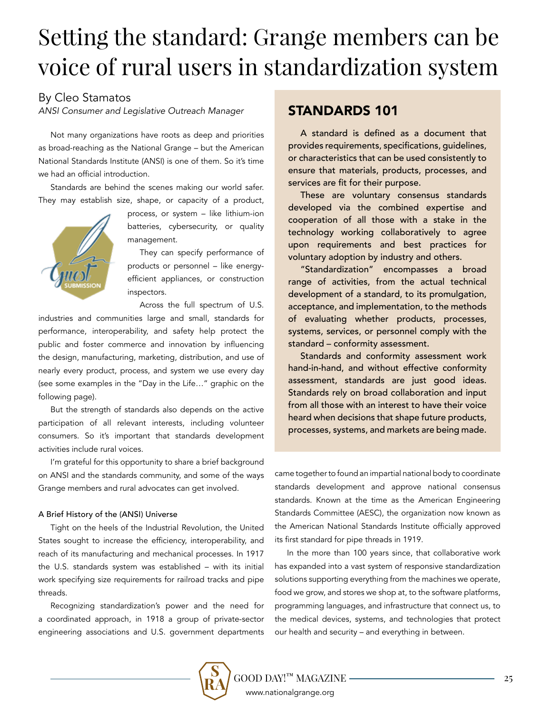# Setting the standard: Grange members can be voice of rural users in standardization system

## By Cleo Stamatos

*ANSI Consumer and Legislative Outreach Manager*

Not many organizations have roots as deep and priorities as broad-reaching as the National Grange – but the American National Standards Institute (ANSI) is one of them. So it's time we had an official introduction.

Standards are behind the scenes making our world safer. They may establish size, shape, or capacity of a product,



process, or system – like lithium-ion batteries, cybersecurity, or quality management.

They can specify performance of products or personnel – like energyefficient appliances, or construction inspectors.

Across the full spectrum of U.S.

industries and communities large and small, standards for performance, interoperability, and safety help protect the public and foster commerce and innovation by influencing the design, manufacturing, marketing, distribution, and use of nearly every product, process, and system we use every day (see some examples in the "Day in the Life…" graphic on the following page).

But the strength of standards also depends on the active participation of all relevant interests, including volunteer consumers. So it's important that standards development activities include rural voices.

I'm grateful for this opportunity to share a brief background on ANSI and the standards community, and some of the ways Grange members and rural advocates can get involved.

#### A Brief History of the (ANSI) Universe

Tight on the heels of the Industrial Revolution, the United States sought to increase the efficiency, interoperability, and reach of its manufacturing and mechanical processes. In 1917 the U.S. standards system was established – with its initial work specifying size requirements for railroad tracks and pipe threads.

Recognizing standardization's power and the need for a coordinated approach, in 1918 a group of private-sector engineering associations and U.S. government departments

# STANDARDS 101

A standard is defined as a document that provides requirements, specifications, guidelines, or characteristics that can be used consistently to ensure that materials, products, processes, and services are fit for their purpose.

These are voluntary consensus standards developed via the combined expertise and cooperation of all those with a stake in the technology working collaboratively to agree upon requirements and best practices for voluntary adoption by industry and others.

"Standardization" encompasses a broad range of activities, from the actual technical development of a standard, to its promulgation, acceptance, and implementation, to the methods of evaluating whether products, processes, systems, services, or personnel comply with the standard – conformity assessment.

Standards and conformity assessment work hand-in-hand, and without effective conformity assessment, standards are just good ideas. Standards rely on broad collaboration and input from all those with an interest to have their voice heard when decisions that shape future products, processes, systems, and markets are being made.

came together to found an impartial national body to coordinate standards development and approve national consensus standards. Known at the time as the American Engineering Standards Committee (AESC), the organization now known as the American National Standards Institute officially approved its first standard for pipe threads in 1919.

In the more than 100 years since, that collaborative work has expanded into a vast system of responsive standardization solutions supporting everything from the machines we operate, food we grow, and stores we shop at, to the software platforms, programming languages, and infrastructure that connect us, to the medical devices, systems, and technologies that protect our health and security – and everything in between.

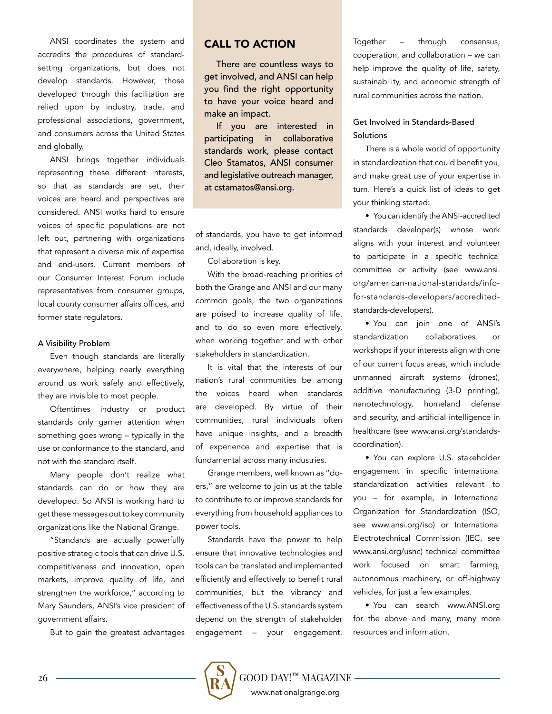ANSI coordinates the system and accredits the procedures of standardsetting organizations, but does not develop standards. However, those developed through this facilitation are relied upon by industry, trade, and professional associations, government, and consumers across the United States and globally.

ANSI brings together individuals representing these different interests, so that as standards are set, their voices are heard and perspectives are considered. ANSI works hard to ensure voices of specific populations are not left out, partnering with organizations that represent a diverse mix of expertise and end-users. Current members of our Consumer Interest Forum include representatives from consumer groups, local county consumer affairs offices, and former state regulators.

#### A Visibility Problem

Even though standards are literally everywhere, helping nearly everything around us work safely and effectively, they are invisible to most people.

Oftentimes industry or product standards only garner attention when something goes wrong – typically in the use or conformance to the standard, and not with the standard itself.

Many people don't realize what standards can do or how they are developed. So ANSI is working hard to get these messages out to key community organizations like the National Grange.

"Standards are actually powerfully positive strategic tools that can drive U.S. competitiveness and innovation, open markets, improve quality of life, and strengthen the workforce," according to Mary Saunders, ANSI's vice president of government affairs.

But to gain the greatest advantages

### CALL TO ACTION

There are countless ways to get involved, and ANSI can help you find the right opportunity to have your voice heard and make an impact.

If you are interested in participating in collaborative standards work, please contact Cleo Stamatos, ANSI consumer and legislative outreach manager, at cstamatos@ansi.org.

of standards, you have to get informed and, ideally, involved.

Collaboration is key.

With the broad-reaching priorities of both the Grange and ANSI and our many common goals, the two organizations are poised to increase quality of life, and to do so even more effectively, when working together and with other stakeholders in standardization.

It is vital that the interests of our nation's rural communities be among the voices heard when standards are developed. By virtue of their communities, rural individuals often have unique insights, and a breadth of experience and expertise that is fundamental across many industries.

Grange members, well known as "doers," are welcome to join us at the table to contribute to or improve standards for everything from household appliances to power tools.

Standards have the power to help ensure that innovative technologies and tools can be translated and implemented efficiently and effectively to benefit rural communities, but the vibrancy and effectiveness of the U.S. standards system depend on the strength of stakeholder engagement – your engagement.

Together – through consensus, cooperation, and collaboration – we can help improve the quality of life, safety, sustainability, and economic strength of rural communities across the nation.

### Get Involved in Standards-Based **Solutions**

There is a whole world of opportunity in standardization that could benefit you, and make great use of your expertise in turn. Here's a quick list of ideas to get your thinking started:

• You can identify the ANSI-accredited standards developer(s) whose work aligns with your interest and volunteer to participate in a specific technical committee or activity (see www.ansi. org/american-national-standards/infofor-standards-developers/accreditedstandards-developers).

• You can join one of ANSI's standardization collaboratives or workshops if your interests align with one of our current focus areas, which include unmanned aircraft systems (drones), additive manufacturing (3-D printing), nanotechnology, homeland defense and security, and artificial intelligence in healthcare (see www.ansi.org/standardscoordination).

• You can explore U.S. stakeholder engagement in specific international standardization activities relevant to you – for example, in International Organization for Standardization (ISO, see www.ansi.org/iso) or International Electrotechnical Commission (IEC, see www.ansi.org/usnc) technical committee work focused on smart farming, autonomous machinery, or off-highway vehicles, for just a few examples.

• You can search www.ANSI.org for the above and many, many more resources and information.